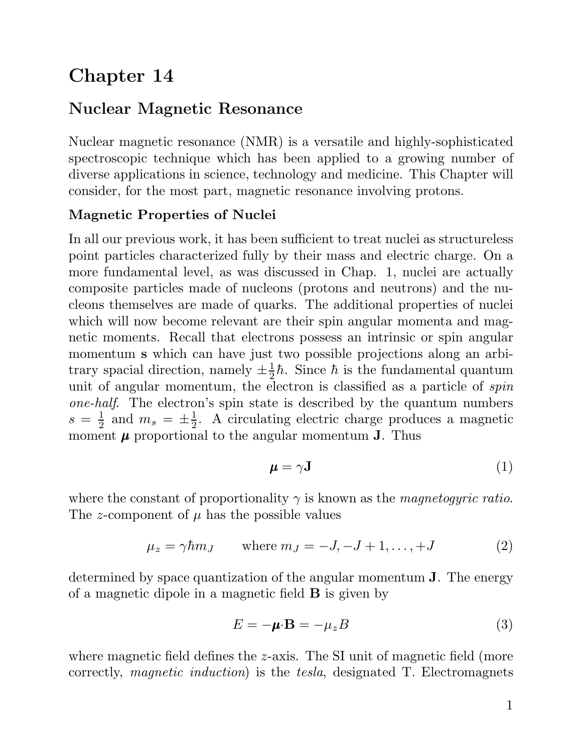# Chapter 14

## Nuclear Magnetic Resonance

Nuclear magnetic resonance (NMR) is a versatile and highly-sophisticated Nuclear magnetic resonance (NMR) is a versatile and highly-sophisticated<br>spectroscopic technique which has been applied to a growing number of<br>diverse applied in science technology and modicine. This Chapter will Nuclear magnetic resonance (NMR) is a versatile and highly-sophisticated<br>spectroscopic technique which has been applied to a growing number of<br>diverse applications in science, technology and medicine. This Chapter will<br>son spectroscopic technique which has been applied to a growing num<br>diverse applications in science, technology and medicine. This Chapt<br>consider, for the most part, magnetic resonance involving protons. diverse approaches in sectice, comme<br>consider, for the most part, magnetic<br>Magnetic Properties of Nuclei

Magnetic Properties of Nuclei<br>In all our previous work, it has been sufficient to treat nuclei as structureless In all our previous work, it has been sufficient to treat nuclei as structureless<br>point particles characterized fully by their mass and electric charge. On a<br>more fundamental lavel, as west discussed in Change 1, puelsi ar In all our previous work, it has been sufficient to treat nuclei as structureless<br>point particles characterized fully by their mass and electric charge. On a<br>more fundamental level, as was discussed in Chap. 1, nuclei are more fundamental level, as was discussed in Chap. 1, nuclei are actually composite particles made of nucleons (protons and neutrons) and the numore fundamental level, as was discussed in Chap. 1, nuclei are actually composite particles made of nucleons (protons and neutrons) and the nucleons themselves are made of quarks. The additional properties of nuclei which composite particles made of nucleons (protons and neutrons) and the nucleons themselves are made of quarks. The additional properties of nuclei which will now become relevant are their spin angular momenta and mag-<br>notic m which will now become relevant are their spin angular momenta and magnetic moments. Recall that electrons possess an intrinsic or spin angular momentum <sup>s</sup> which can have just two possible projections along an arbinetic moments. Recall that electrons possess an intrinsic or spin angular<br>momentum **s** which can have just two possible projections along an arbi-<br>trary spacial direction, namely  $\pm \frac{1}{2}\hbar$ . Since  $\hbar$  is the fundamen momentum **s** which can have just two possible projections along an arbi-<br>trary spacial direction, namely  $\pm \frac{1}{2}\hbar$ . Since  $\hbar$  is the fundamental quantum<br>unit of angular momentum, the electron is classified as a part trary spacial direction, namely  $\pm \frac{1}{2}\hbar$ . Since  $\hbar$  is the fundamental quantum<br>unit of angular momentum, the electron is classified as a particle of *spin*<br>one-half. The electron's spin state is described by the qu  $s = \frac{1}{2}$  and  $m_s = \pm \frac{1}{2}$ . A nentum, the electron is classified as a particle of *spin*<br>on's spin state is described by the quantum numbers<br> $\frac{1}{2}$ . A circulating electric charge produces a magnetic<br>not to the engular momentum **I**. Thus *one-half.* The electron's spin state is described by the quant  $s = \frac{1}{2}$  and  $m_s = \pm \frac{1}{2}$ . A circulating electric charge produces moment  $\mu$  proportional to the angular momentum **J**. Thus

$$
\boldsymbol{\mu} = \gamma \mathbf{J} \tag{1}
$$

where the constant of proportionality  $\gamma$  is known as the *magnetogyric ratio*. The z-component of  $\mu$  has the possible values

$$
\mu_z = \gamma \hbar m_J \qquad \text{where } m_J = -J, -J+1, \dots, +J \tag{2}
$$

 $\mu_z = \gamma \hbar m_J$  where  $m_J = -J, -J + 1, ..., +J$  (2)<br>determined by space quantization of the angular momentum **J**. The energy determined by space quantization of the angular momentum of a magnetic dipole in a magnetic field  $\bf{B}$  is given by

$$
E = -\mu \cdot \mathbf{B} = -\mu_z B \tag{3}
$$

 $E = -\mu \cdot \mathbf{B} = -\mu_z B$  (3)<br>where magnetic field defines the z-axis. The SI unit of magnetic field (more<br>connectly, magnetic induction) is the tech designated  $T$ . Electromografs where magnetic field defines the *z*-axis. The SI unit of magnetic field (more correctly, *magnetic induction*) is the *tesla*, designated T. Electromagnets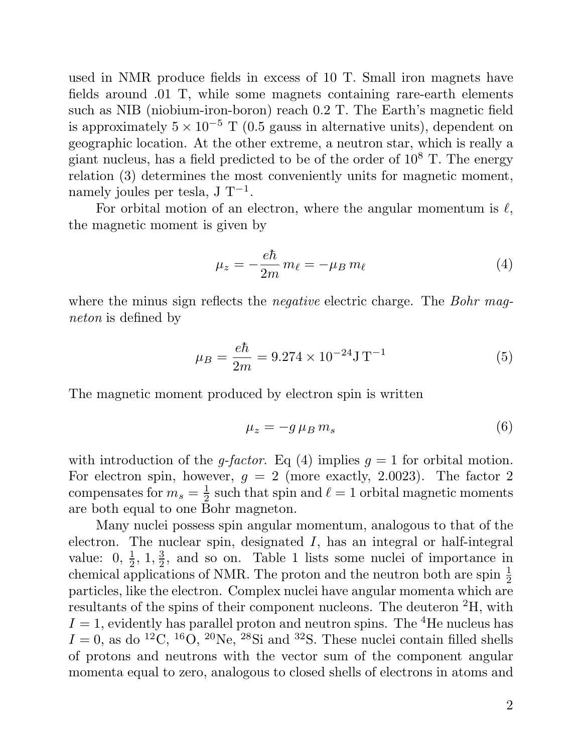used in NMR produce fields in excess of 10 T. Small iron magnets have<br>fields example 01 T, while some magnets containing rare earth elements used in NMR produce fields in excess of 10 T. Small iron magnets have<br>fields around .01 T, while some magnets containing rare-earth elements<br>such as NIP (pickium iron boron) roach 0.2 T. The Farth's magnetic field fields around .01 T, while some magnets containing rare-earth elements such as NIB (niobium-iron-boron) reach  $0.2$  T. The Earth's magnetic field fields around .01 T, while some magnets containing rare-earth elements<br>such as NIB (niobium-iron-boron) reach 0.2 T. The Earth's magnetic field<br>is approximately  $5 \times 10^{-5}$  T (0.5 gauss in alternative units), dependent on such as NIB (niobium-iron-boron) reach 0.2 T. The Earth's magnetic field<br>is approximately  $5 \times 10^{-5}$  T (0.5 gauss in alternative units), dependent on<br>geographic location. At the other extreme, a neutron star, which is re is approximately  $5 \times 10^{-5}$  T (0.5 gauss in alternative units), dependent on<br>geographic location. At the other extreme, a neutron star, which is really a<br>giant nucleus, has a field predicted to be of the order of  $10^8$  geographic location. At the other extreme, a neutron star, which is really a giant nucleus, has a field predicted to be of the order of  $10^8$  T. The energy relation (3) determines the most conveniently units for magnetic giant nucleus, has a field predicte<br>relation (3) determines the most<br>namely joules per tesla, J T<sup>-1</sup>.<br>For orbital mation of an elecion (3) determines the most conveniently units for magnetic moment,<br>ely joules per tesla, J T<sup>-1</sup>.<br>For orbital motion of an electron, where the angular momentum is  $\ell$ ,

namely joules per tesla,  $J T^{-1}$ .<br>For orbital motion of an electro:<br>the magnetic moment is given by

$$
\mu_z = -\frac{e\hbar}{2m} m_\ell = -\mu_B m_\ell \tag{4}
$$

 $\mu_z = -\frac{m}{2m} m_\ell = -\mu_B m_\ell$  (4)<br>where the minus sign reflects the *negative* electric charge. The *Bohr mag*where the minus sign in *neton* is defined by

$$
\mu_B = \frac{e\hbar}{2m} = 9.274 \times 10^{-24} \text{J T}^{-1}
$$
\n(5)

 $\mu_B = \frac{1}{2m} = 9.274 \times 10^{-5} \text{ J}$ <br>The magnetic moment produced by electron spin is written

ced by electron spin is written

\n
$$
\mu_z = -g \mu_B m_s \tag{6}
$$

 $\mu_z = -g \mu_B m_s$  (6)<br>with introduction of the *q-factor*. Eq (4) implies  $q = 1$  for orbital motion. with introduction of the *g-factor*. Eq (4) implies  $g = 1$  for orbital motion.<br>For electron spin, however,  $g = 2$  (more exactly, 2.0023). The factor 2 components for  $m = \frac{1}{2}$  such that  $\sin \text{ and } \ell = 1$  orbital magnetic m with introduction of the *g-factor*. Eq (4) implies  $g = 1$  for orbital motion.<br>For electron spin, however,  $g = 2$  (more exactly, 2.0023). The factor 2 compensates for  $m_s = \frac{1}{2}$  such that spin and  $\ell = 1$  orbital magnet  $2^{50}$ For electron spin, however,  $g = 2$  (mo<br>compensates for  $m_s = \frac{1}{2}$  such that spin as<br>are both equal to one Bohr magneton. bensates for  $m_s = \frac{1}{2}$  such that spin and  $\ell = 1$  orbital magnetic moments<br>both equal to one Bohr magneton.<br>Many nuclei possess spin angular momentum, analogous to that of the<br>rep. The nuclear spin decimated L has an i

are both equal to one Bohr magneton.<br>Many nuclei possess spin angular momentum, analogous to that of the electron. The nuclear spin, designated  $I$ , has an integral or half-integral Many nuclei possess spin angular momentum, analogous to that of the<br>electron. The nuclear spin, designated I, has an integral or half-integral<br>value:  $0, \frac{1}{2}, 1, \frac{3}{2}$ , and so on. Table 1 lists some nuclei of importan electron. The nuclear spin, designated I, has an integral or half-integral value:  $0, \frac{1}{2}, 1, \frac{3}{2}$ , and so on. Table 1 lists some nuclei of importance in chemical applications of NMR. The proton and the neutron both chemical applications of NMR. The proton and the neutron both are spin  $\frac{1}{2}$  particles, like the electron. Complex nuclei have angular momenta which are value:  $0, \frac{1}{2}, 1, \frac{3}{2}$ , and so on. Table 1 lists some nuclei of importance in chemical applications of NMR. The proton and the neutron both are spin  $\frac{1}{2}$  particles, like the electron. Complex nuclei have angula chemical applications of NMR. The proton and the neutron both are spin  $\frac{1}{2}$  particles, like the electron. Complex nuclei have angular momenta which are resultants of the spins of their component nucleons. The deutero particles, like the electron. Complex nuclei have angular momenta which are<br>resultants of the spins of their component nucleons. The deuteron <sup>2</sup>H, with<br> $I = 1$ , evidently has parallel proton and neutron spins. The <sup>4</sup>He n resultants of the spins of their component nucleons. The deuteron <sup>2</sup>H, with  $I = 1$ , evidently has parallel proton and neutron spins. The <sup>4</sup>He nucleus has  $I = 0$ , as do <sup>12</sup>C, <sup>16</sup>O, <sup>20</sup>Ne, <sup>28</sup>Si and <sup>32</sup>S. These nucle  $I = 1$ , evidently has parallel proton and neutron spins. The <sup>4</sup>He nucleus has  $I = 0$ , as do <sup>12</sup>C, <sup>16</sup>O, <sup>20</sup>Ne, <sup>28</sup>Si and <sup>32</sup>S. These nuclei contain filled shells of protons and neutrons with the vector sum of the co of protons and neutrons with the vector sum of the component angular momenta equal to zero, analogous to closed shells of electrons in atoms and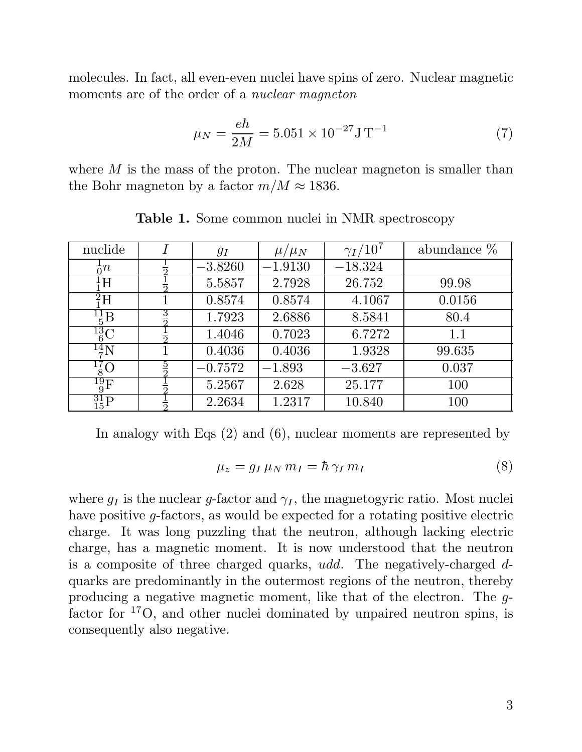molecules. In fact, all even-even nuclei have spins of zero. Nuclear magnetic molecules. In fact, all even-even nuclei have spins of a moments are of the order of a *nuclear magneton* 

$$
\mu_N = \frac{e\hbar}{2M} = 5.051 \times 10^{-27} \text{J T}^{-1}
$$
 (7)

where  $M$  is the mass of the proton. The nuclear magneton is smaller than the Bohr magneton by a factor  $m/M \approx 1836$ . nagneton by a factor  $m/M \approx 1836$ .<br>Table 1. Some common nuclei in NMR spectroscopy

| nuclide                    |               | $g_I$     | $\mu/\mu_N$ | $\gamma_I/10^7$ | abundance $%$ |
|----------------------------|---------------|-----------|-------------|-----------------|---------------|
| $\frac{1}{0}n$             |               | $-3.8260$ | $-1.9130$   | $-18.324$       |               |
| ${}^{1}_{1}H$              |               | 5.5857    | 2.7928      | 26.752          | 99.98         |
| ${}^{2}_{1}H$              |               | 0.8574    | 0.8574      | 4.1067          | 0.0156        |
| $^{11}_{5}$ $\overline{B}$ | 3             | 1.7923    | 2.6886      | 8.5841          | 80.4          |
| $^{13}_{\,6}$ C            |               | 1.4046    | 0.7023      | 6.7272          | 1.1           |
| $^{14}$ N                  |               | 0.4036    | 0.4036      | 1.9328          | 99.635        |
| $^{17}_{8}$ O              | $\frac{5}{2}$ | $-0.7572$ | $-1.893$    | $-3.627$        | 0.037         |
| $^{19}_{\rm 9} \rm F$      |               | 5.2567    | 2.628       | 25.177          | 100           |
| $^{31}_{15}P$              |               | 2.2634    | 1.2317      | 10.840          | 100           |

(2) and (6), nuclear moments are represented by  
\n
$$
\mu_z = g_I \mu_N m_I = \hbar \gamma_I m_I
$$
\n(8)

 $\mu_z = g_I \mu_N m_I = \hbar \gamma_I m_I$  (8)<br>where  $g_I$  is the nuclear g-factor and  $\gamma_I$ , the magnetogyric ratio. Most nuclei<br>have negitive a factors, as would be expected for a notating negitive electric where  $g_I$  is the nuclear g-factor and  $\gamma_I$ , the magnetogyric ratio. Most nuclei<br>have positive g-factors, as would be expected for a rotating positive electric<br>charge. It was long puralize that the poutron, although lack where  $g_I$  is the nuclear g-factor and  $\gamma_I$ , the magnetogyric ratio. Most nuclei<br>have positive g-factors, as would be expected for a rotating positive electric<br>charge. It was long puzzling that the neutron, although lack have positive g-factors, as would be expected for a rotating positive electric<br>charge. It was long puzzling that the neutron, although lacking electric<br>charge, has a magnetic moment. It is now understood that the neutron<br> charge. It was long puzzling that the neutron, although lacking electric charge, has a magnetic moment. It is now understood that the neutron is a composite of three charged quarks,  $udd$ . The negatively-charged  $d$ -quarks producing a negative magnetic moment, like that of the electron. The <sup>g</sup>quarks are predominantly in the outermost regions of the neutron, thereby<br>producing a negative magnetic moment, like that of the electron. The  $g$ -<br>factor for <sup>17</sup>O, and other nuclei dominated by unpaired neutron spins, i producing a negative magnet<br>factor for  ${}^{17}O$ , and other nu<br>consequently also negative.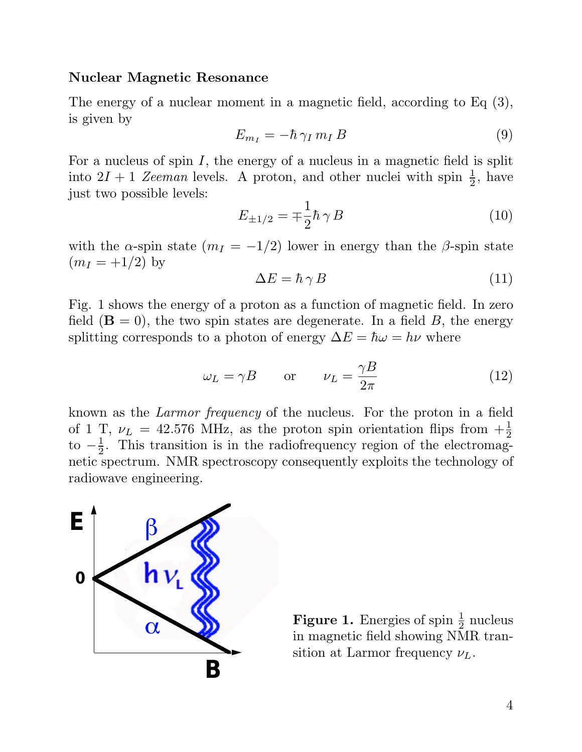### Nuclear Magnetic Resonance

Nuclear Magnetic Resonance<br>The energy of a nuclear moment in a magnetic field, according to Eq (3), The energy of<br>is given by is given by  $E_{m_I} = -\hbar \gamma_I m_I B$  (9)<br>For a nucleus of spin I, the energy of a nucleus in a magnetic field is split

$$
E_{m_I} = -\hbar \gamma_I m_I B \tag{9}
$$

For a nucleus of spin I, the energy of a nucleus in a magnetic field is split<br>into  $2I + 1$  Zeeman levels. A proton, and other nuclei with spin  $\frac{1}{2}$ , have<br>inst two possible levels. For a nucleus of spin  $I$ , t<br>into  $2I + 1$  Zeeman level<br>just two possible levels:

A proton, and other nuclear with spin 
$$
\frac{1}{2}
$$
, have  

$$
E_{\pm 1/2} = \pm \frac{1}{2} \hbar \gamma B
$$
(10)

 $E_{\pm 1/2} = \mp \frac{1}{2} \hbar \gamma B$  (10)<br>with the α-spin state  $(m_I = -1/2)$  lower in energy than the β-spin state with the  $\alpha$ -spin stat<br> $(m_I = +1/2)$  by <sup>2</sup> (1/2) lower in energy than the *β*-spin state<br>  $\Delta E = \hbar \gamma B$  (11)  $(m_I = +1/2)$  by  $\Delta E = \hbar \gamma B$  (11)<br>Fig. 1 shows the energy of a proton as a function of magnetic field. In zero

$$
\Delta E = \hbar \gamma B \tag{11}
$$

Fig. 1 shows the energy of a proton as a function of magnetic field. In zero<br>field  $(\mathbf{B} = 0)$ , the two spin states are degenerate. In a field B, the energy<br>conditions corresponds to a photon of energy  $\Delta E = \hbar \Delta t = h\mu$  w Fig. 1 shows the energy of a proton as a function of magnetic field. In field (**B** = 0), the two spin states are degenerate. In a field *B*, the esplitting corresponds to a photon of energy  $\Delta E = \hbar \omega = h\nu$  where

$$
\omega_L = \gamma B
$$
 or  $\nu_L = \frac{\gamma B}{2\pi}$  (12)

known as the Larmor frequency of the nucleus. For the proton in a field known as the *Larmor frequency* of the nucleus. For the proton in a field<br>of 1 T,  $\nu_L = 42.576$  MHz, as the proton spin orientation flips from  $+\frac{1}{2}$ <br>to  $\frac{1}{2}$ . This transition is in the redisfrequency region of the to  $-\frac{1}{2}$ . T m as the *Larmor frequency* of the nucleus. For the proton in a field T,  $\nu_L = 42.576$  MHz, as the proton spin orientation flips from  $+\frac{1}{2}$ .<br>This transition is in the radiofrequency region of the electromag-<br>meeting. of 1 T,  $\nu_L = 42.576$  MHz, as the proton spin orientation flips from  $+\frac{1}{2}$  to  $-\frac{1}{2}$ . This transition is in the radiofrequency region of the electromagnetic spectrum. NMR spectroscopy consequently exploits the tech to  $-\frac{1}{2}$ . This transition is<br>netic spectrum. NMR sp<br>radiowave engineering.



Figure 1. Energies of spin  $\frac{1}{2}$  nucleus<br>in magnetic field changing NAD trans **Figure 1.** Energies of spin  $\frac{1}{2}$  nucleus<br>in magnetic field showing NMR tran-<br>sition at Larmor frequency  $U$ **Figure 1.** Energies of spin  $\frac{1}{2}$  nuotin magnetic field showing NMR that sition at Larmor frequency  $\nu_L$ .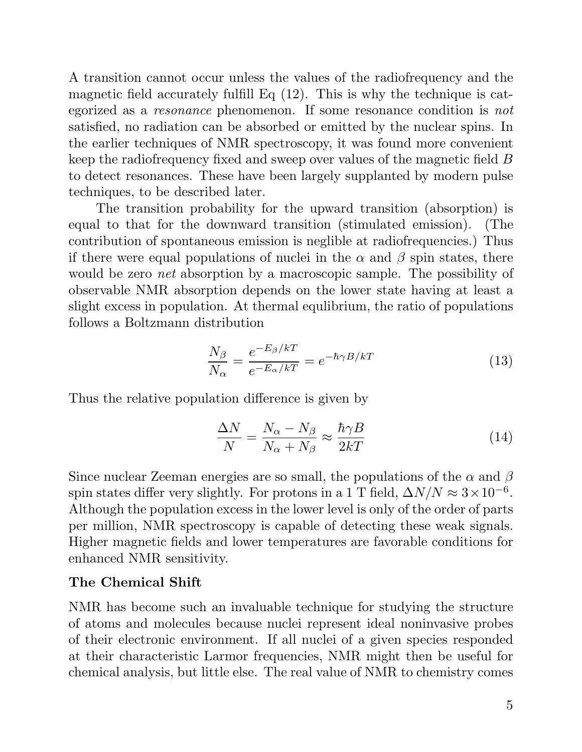A transition cannot occur unless the values of the radiofrequency and the magnetic field accurately fulfill Eq (12). This is why the technique is cat-A transition cannot occur unless the values of the radiofrequency and the magnetic field accurately fulfill Eq  $(12)$ . This is why the technique is categorized as a *resonance* phenomenon. If some resonance condition is magnetic field accurately fulfill Eq  $(12)$ . This is why the technique is cat-<br>egorized as a *resonance* phenomenon. If some resonance condition is *not*<br>satisfied, no radiation can be absorbed or emitted by the nuclear s egorized as a *resonance* phenomenon. If some resonance condition is *not* satisfied, no radiation can be absorbed or emitted by the nuclear spins. In the earlier techniques of NMR spectroscopy, it was found more convenie satisfied, no radiation can be absorbed or emitted by the nuclear spins. In<br>the earlier techniques of NMR spectroscopy, it was found more convenient<br>keep the radiofrequency fixed and sweep over values of the magnetic fiel the earlier techniques of NMR spectroscopy, it was found more convenient<br>keep the radiofrequency fixed and sweep over values of the magnetic field  $B$ <br>to detect resonances. These have been largely supplanted by modern pul keep the radiofrequency fixed and s<br>to detect resonances. These have b<br>techniques, to be described later.<br>The transition probability for etect resonances. These have been largely supplanted by modern pulse<br>niques, to be described later.<br>The transition probability for the upward transition (absorption) is<br>let a that for the downward transition (atimulated em

techniques, to be described later.<br>The transition probability for the upward transition (absorption) is<br>equal to that for the downward transition (stimulated emission). (The<br>contribution of montenoous emission is noglible The transition probability for the upward transition (absorption) is<br>equal to that for the downward transition (stimulated emission). (The<br>contribution of spontaneous emission is neglible at radiofrequencies.) Thus<br>if the equal to that for the downward transition (stimulated emission). (The contribution of spontaneous emission is neglible at radiofrequencies.) Thus if there were equal populations of nuclei in the α and β spin states, ther would be zero *net* absorption by a macroscopic sample. The possibility of if there were equal populations of nuclei in the  $\alpha$  and  $\beta$  spin states, there would be zero *net* absorption by a macroscopic sample. The possibility of observable NMR absorption depends on the lower state having at l would be zero *net* absorption by a macroscopic sample. The possibility of observable NMR absorption depends on the lower state having at least a slight excess in population. At thermal equlibrium, the ratio of populations slight excess in population. At thermal equilibrium, the ratio of populations follows a Boltzmann distribution

$$
\frac{N_{\beta}}{N_{\alpha}} = \frac{e^{-E_{\beta}/kT}}{e^{-E_{\alpha}/kT}} = e^{-\hbar\gamma B/kT}
$$
\n(13)

Thus the relative population difference is given by

$$
\frac{\Delta N}{N} = \frac{N_{\alpha} - N_{\beta}}{N_{\alpha} + N_{\beta}} \approx \frac{\hbar \gamma B}{2kT}
$$
\n(14)

Since nuclear Zeeman energies are so small, the populations of the  $\alpha$  and  $\beta$ Since nuclear Zeeman energies are so small, the populations of the  $\alpha$  and  $\beta$  spin states differ very slightly. For protons in a 1 T field,  $\Delta N/N \approx 3 \times 10^{-6}$ . Since nuclear Zeeman energies are so small, the populations of the  $\alpha$  and  $\beta$ <br>spin states differ very slightly. For protons in a 1 T field,  $\Delta N/N \approx 3 \times 10^{-6}$ .<br>Although the population excess in the lower level is only spin states differ very slightly. For protons in a 1 T field,  $\Delta N/N \approx 3 \times 10^{-6}$ .<br>Although the population excess in the lower level is only of the order of parts<br>per million, NMR spectroscopy is capable of detecting these Although the population excess in the lower level is only of the order of parts per million, NMR spectroscopy is capable of detecting these weak signals. Higher magnetic fields and lower temperatures are favorable conditions for enhanced NMR sensitivity.<br>The Chemical Shift

NMR has become such an invaluable technique for studying the structure NMR has become such an invaluable technique for studying the structure<br>of atoms and molecules because nuclei represent ideal noninvasive probes<br>of their electronic environment. If all nuclei of a given encoies responded NMR has become such an invaluable technique for studying the structure<br>of atoms and molecules because nuclei represent ideal noninvasive probes<br>of their electronic environment. If all nuclei of a given species responded<br>at at their characteristic Larmor frequencies, NMR might then be useful for chemical analysis, but little else. The real value of NMR to chemistry comes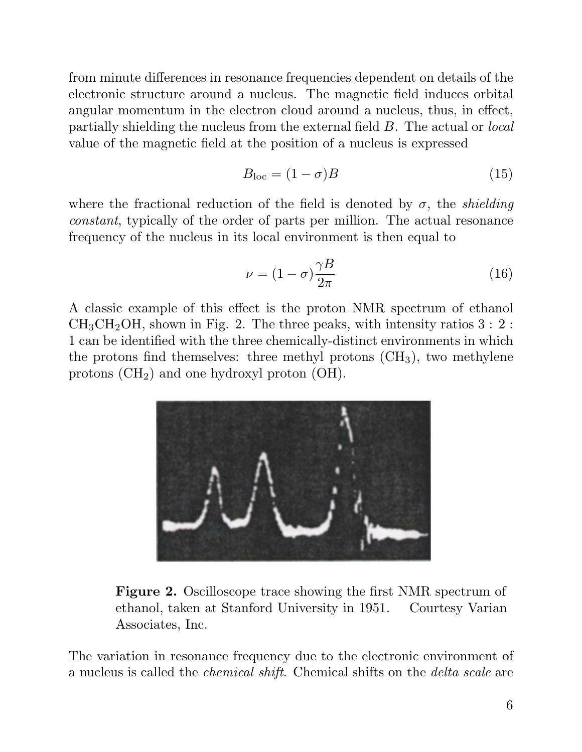from minute differences in resonance frequencies dependent on details of the from minute differences in resonance frequencies dependent on details of the electronic structure around a nucleus. The magnetic field induces orbital angular momentum in the electron cloud around a nucleus, thus, in effec from minute differences in resonance frequencies dependent on details of the electronic structure around a nucleus. The magnetic field induces orbital angular momentum in the electron cloud around a nucleus, thus, in effe angular momentum in the electron cloud around a nucleus, thus, in effect, partially shielding the nucleus from the external field  $B$ . The actual or *local* angular momentum in the electron cloud around a nucleus, thus, in effertially shielding the nucleus from the external field  $B$ . The actual or  $l$  value of the magnetic field at the position of a nucleus is expressed

the position of a nucleus is expressed  

$$
B_{\text{loc}} = (1 - \sigma)B \tag{15}
$$

where the fractional reduction of the field is denoted by  $\sigma$ , the *shielding* where the fractional reduction of the field is denoted by  $\sigma$ , the *shielding* constant, typically of the order of parts per million. The actual resonance frequency of the puelous in its local environment is then equal t where the fractional reduction of the field is denoted by  $\sigma$ , the *shi* constant, typically of the order of parts per million. The actual resc<br>frequency of the nucleus in its local environment is then equal to frequency of the nucleus in its local environment is then equal to

$$
\nu = (1 - \sigma) \frac{\gamma B}{2\pi} \tag{16}
$$

 $\nu = (1 - \sigma) \frac{1}{2\pi}$  (16)<br>A classic example of this effect is the proton NMR spectrum of ethanol<br>CH CH OH shown in Fig. 2. The three peaks, with intensity ratios 2, 2, A classic example of this effect is the proton NMR spectrum of ethanol  $CH_3CH_2OH$ , shown in Fig. 2. The three peaks, with intensity ratios  $3:2:1$  are believed with the three eleminally distinct environments in which  $CH_3CH_2OH$ , shown in Fig. 2. The three peaks, with intensity ratios  $3:2:1$  can be identified with the three chemically-distinct environments in which  $CH_3CH_2OH$ , shown in Fig. 2. The three peaks, with intensity ratios 3 : 2 :<br>1 can be identified with the three chemically-distinct environments in which<br>the protons find themselves: three methyl protons (CH<sub>3</sub>), two methyl 1 can be identified with the three chemically-disti<br>the protons find themselves: three methyl proton<br>protons  $(CH_2)$  and one hydroxyl proton  $(OH)$ .



Figure 2. Oscilloscope trace showing the first NMR spectrum of<br>expanding the first NMR spectrum of Figure 2. Oscilloscope trace showing the first NMR spectrum of ethanol, taken at Stanford University in 1951. Courtesy Varian ethanol, taken at Stanford University in 1951.<br>Associates, Inc.

The variation in resonance frequency due to the electronic environment of a nucleus is called the chemical shift. Chemical shifts on the delta scale are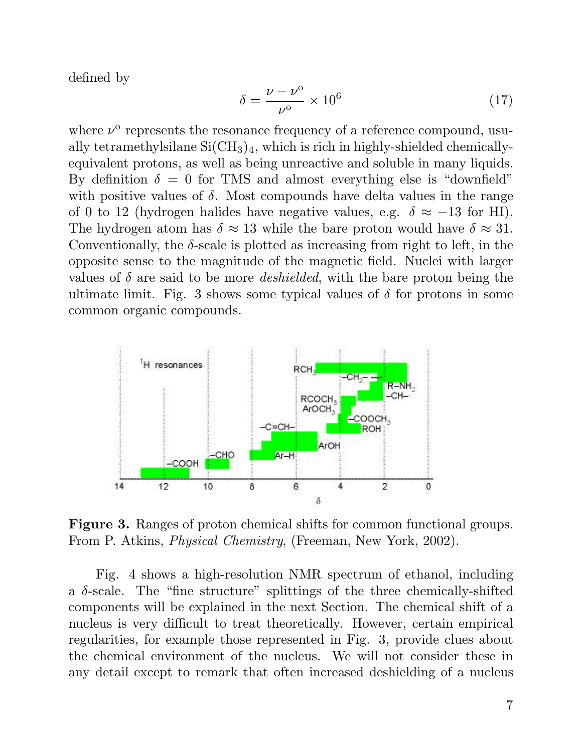defined by

$$
\delta = \frac{\nu - \nu^{\circ}}{\nu^{\circ}} \times 10^6 \tag{17}
$$

where  $\nu^{\mathrm{o}}$  re  $\delta = \frac{\nu - \nu}{\nu^{\circ}} \times 10^{6}$  (17)<br>represents the resonance frequency of a reference compound, usu-<br>mathylsilang Si(CH), which is righ in highly shielded chamically where  $\nu^{\circ}$  represents the resonance frequency of a reference compound, usually tetramethylsilane Si $(CH_3)_4$ , which is rich in highly-shielded chemically-<br>conjugation protons, as well as being unpeative and soluble in m where  $\nu^{\circ}$  represents the resonance frequency of a reference compound, usually tetramethylsilane Si(CH<sub>3</sub>)<sub>4</sub>, which is rich in highly-shielded chemically-<br>equivalent protons, as well as being unreactive and soluble i ally tetramethylsilane Si(CH<sub>3</sub>)<sub>4</sub>, which is rich in highly-shielded chemically-<br>equivalent protons, as well as being unreactive and soluble in many liquids.<br>By definition  $\delta = 0$  for TMS and almost everything else is "d equivalent protons, as well as being unreactive and soluble in many liquids.<br>By definition  $\delta = 0$  for TMS and almost everything else is "downfield"<br>with positive values of  $\delta$ . Most compounds have delta values in the ra By definition  $\delta = 0$  for TMS and almost everything else is "downfield" with positive values of  $\delta$ . Most compounds have delta values in the range of 0 to 12 (hydrogen halides have negative values, e.g.  $\delta \approx -13$  for HI) of 0 to 12 (hydrogen halides have negative values, e.g.  $\delta \approx -13$  for HI).<br>The hydrogen atom has  $\delta \approx 13$  while the bare proton would have  $\delta \approx 31$ . of 0 to 12 (hydrogen halides have negative values, e.g.  $\delta \approx -13$  for HI).<br>The hydrogen atom has  $\delta \approx 13$  while the bare proton would have  $\delta \approx 31$ .<br>Conventionally, the  $\delta$ -scale is plotted as increasing from right to The hydrogen atom has  $\delta \approx 13$  while the bare proton would have  $\delta \approx 31$ .<br>Conventionally, the  $\delta$ -scale is plotted as increasing from right to left, in the opposite sense to the magnitude of the magnetic field. Nuclei opposite sense to the magnitude of the magnetic field. Nuclei with larger values of  $\delta$  are said to be more *deshielded*, with the bare proton being the opposite sense to the magnitude of the magnetic field. Nuclei with larger values of  $\delta$  are said to be more *deshielded*, with the bare proton being the ultimate limit. Fig. 3 shows some typical values of  $\delta$  for proton values of  $\delta$  are said to be more<br>ultimate limit. Fig. 3 shows so<br>common organic compounds.



Figure 3. Ranges of proton chemical shifts for common functional From P. Atkins, *Physical Chemistry*, (Freeman, New York, 2002). From P. Atkins, *Physical Chemistry*, (Freeman, New York, 2002).<br>Fig. 4 shows a high-resolution NMR spectrum of ethanol, including

Fig. 4 shows a high-resolution NMR spectrum of ethanol, including a  $\delta$ -scale. The "fine structure" splittings of the three chemically-shifted components will be evolvined in the part Section. The chemical shift of a Fig. 4 shows a high-resolution NMR spectrum of ethanol, including<br>a  $\delta$ -scale. The "fine structure" splittings of the three chemically-shifted<br>components will be explained in the next Section. The chemical shift of a<br>muc a  $\delta$ -scale. The "fine structure" splittings of the three chemically-shifted<br>components will be explained in the next Section. The chemical shift of a<br>nucleus is very difficult to treat theoretically. However, certain em components will be explained in the next Section. The chemical shift of a<br>nucleus is very difficult to treat theoretically. However, certain empirical<br>regularities, for example those represented in Fig. 3, provide clues ab nucleus is very difficult to treat theoretically. However, certain empirical<br>regularities, for example those represented in Fig. 3, provide clues about<br>the chemical environment of the nucleus. We will not consider these in regularities, for example those represented in Fig. 3, provide clues about<br>the chemical environment of the nucleus. We will not consider these in<br>any detail except to remark that often increased deshielding of a nucleus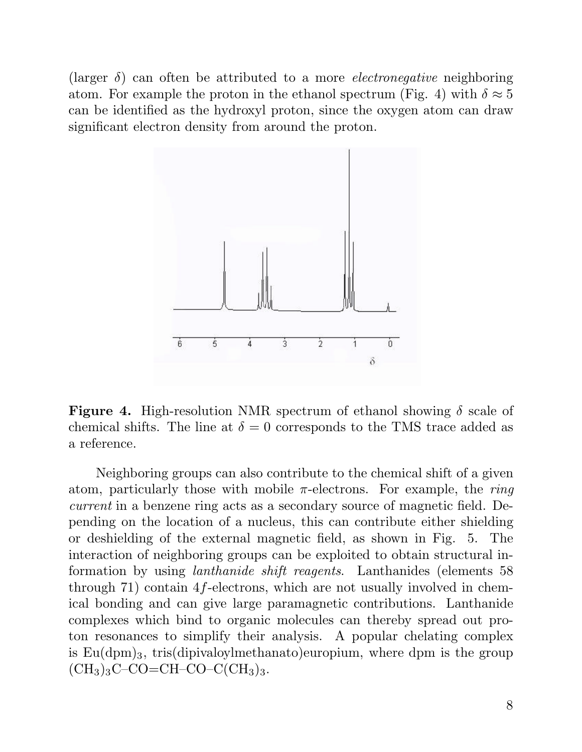(larger  $\delta$ ) can often be attributed to a more *electronegative* neighboring (larger  $\delta$ ) can often be attributed to a more *electronegative* neighboring atom. For example the proton in the ethanol spectrum (Fig. 4) with  $\delta \approx 5$ (larger  $\delta$ ) can often be attributed to a more *electronegative* neighboring<br>atom. For example the proton in the ethanol spectrum (Fig. 4) with  $\delta \approx 5$ <br>can be identified as the hydroxyl proton, since the oxygen atom can can be identified as the hydroxyl proton, since the oxygen atom can draw significant electron density from around the proton.



Figure 4. High-resolution NMR spectrum of ethanol showing  $\delta$  scale of showing  $\delta$  scale of showing  $\delta$  scale of **Figure 4.** High-resolution NMR spectrum of ethanol showing  $\delta$  scale of chemical shifts. The line at  $\delta = 0$  corresponds to the TMS trace added as chemical shifts. The line at  $\delta = 0$  corresponds to the TMS trace added as a reference.

Neighboring groups can also contribute to the chemical shift of a given Neighboring groups can also contribute to the chemical shift of a given<br>atom, particularly those with mobile  $\pi$ -electrons. For example, the *ring*<br>generating a horizon ring acts as a secondary source of magnetic field. Neighboring groups can also contribute to the chemical shift of a given<br>atom, particularly those with mobile  $\pi$ -electrons. For example, the *ring*<br>current in a benzene ring acts as a secondary source of magnetic field. atom, particularly those with mobile  $\pi$ -electrons. For example, the *ring*<br>current in a benzene ring acts as a secondary source of magnetic field. De-<br>pending on the location of a nucleus, this can contribute either shi current in a benzene ring acts as a secondary source of magnetic field. Depending on the location of a nucleus, this can contribute either shielding or deshielding of the external magnetic field, as shown in Fig. 5. The in or deshielding of the external magnetic field, as shown in Fig. 5. The interaction of neighboring groups can be exploited to obtain structural inor deshielding of the external magnetic field, as shown in Fig. 5. The interaction of neighboring groups can be exploited to obtain structural information by using *lanthanide shift reagents*. Lanthanides (elements 58 thr interaction of neighboring groups can be exploited to obtain structural information by using *lanthanide shift reagents*. Lanthanides (elements 58 through 71) contain 4 $f$ -electrons, which are not usually involved in chem formation by using *lanthanide shift reagents*. Lanthanides (elements 58 through 71) contain 4*f*-electrons, which are not usually involved in chemical bonding and can give large paramagnetic contributions. Lanthanide com through 71) contain 4*f*-electrons, which are not usually involved in chemical bonding and can give large paramagnetic contributions. Lanthanide complexes which bind to organic molecules can thereby spread out pro-<br>top re ical bonding and can give large paramagnetic contributions. Lanthanide<br>complexes which bind to organic molecules can thereby spread out pro-<br>ton resonances to simplify their analysis. A popular chelating complex<br>is  $F_{\mathcal$ complexes which bind to organic molecules can thereby spread out pro-<br>ton resonances to simplify their analysis. A popular chelating complex<br>is  $Eu(dpm)_3$ , tris(dipivaloylmethanato)europium, where dpm is the group<br> $(CU)$   $C$   $(CH<sub>3</sub>)<sub>3</sub>C-CO=CH-CO-C(CH<sub>3</sub>)<sub>3</sub>.$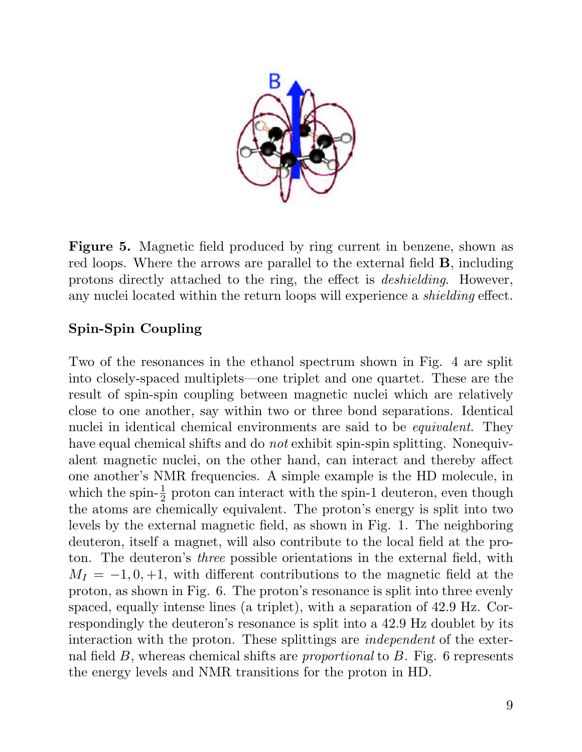

Figure 5. Magnetic field produced by ring current in benzene, shown as<br>red loops. Where the errors are parallel to the external fold **P** including Figure 5. Magnetic field produced by ring current in benzene, shown as red loops. Where the arrows are parallel to the external field **B**, including protons directly attached to the ring the effect is dechielding. However **Figure 5.** Magnetic field produced by ring current in benzene, shown as red loops. Where the arrows are parallel to the external field **B**, including protons directly attached to the ring, the effect is *deshielding*. How red loops. Where the arrows are parallel to the external field **B**, including protons directly attached to the ring, the effect is *deshielding*. However, any nuclei located within the return loops will experience a *shielding* effect.<br>Spin-Spin Coupling

Spin-Spin Coupling<br>Two of the resonances in the ethanol spectrum shown in Fig. 4 are split<br>into closely speed multiplets , are triplet and are spectot. These are the Two of the resonances in the ethanol spectrum shown in Fig. 4 are split into closely-spaced multiplets—one triplet and one quartet. These are the result of onin quin equalize between megantic nuclei which are relatively Two of the resonances in the ethanol spectrum shown in Fig. 4 are split<br>into closely-spaced multiplets—one triplet and one quartet. These are the<br>result of spin-spin coupling between magnetic nuclei which are relatively<br>al into closely-spaced multiplets—one triplet and one quartet. These are the result of spin-spin coupling between magnetic nuclei which are relatively close to one another, say within two or three bond separations. Identical result of spin-spin coupling between magnetic nuclei which are relatively<br>close to one another, say within two or three bond separations. Identical<br>nuclei in identical chemical environments are said to be *equivalent*. The close to one another, say within two or three bond separations. Identical<br>nuclei in identical chemical environments are said to be *equivalent*. They<br>have equal chemical shifts and do *not* exhibit spin-spin splitting. Non nuclei in identical chemical environments are said to be *equivalent*. They have equal chemical shifts and do *not* exhibit spin-spin splitting. Nonequivalent magnetic nuclei, on the other hand, can interact and thereby af one another's NMR frequencies. A simple example is the HD molecule, in alent magnetic nuclei, on the other hand, can interact and thereby affect<br>one another's NMR frequencies. A simple example is the HD molecule, in<br>which the spin- $\frac{1}{2}$  proton can interact with the spin-1 deuteron, even one another's NMR frequencies. A simple example is the HD molecule, in which the spin- $\frac{1}{2}$  proton can interact with the spin-1 deuteron, even though the atoms are chemically equivalent. The proton's energy is split i which the spin- $\frac{1}{2}$  proton can interact with the spin-1 deuteron, even though<br>the atoms are chemically equivalent. The proton's energy is split into two<br>levels by the external magnetic field, as shown in Fig. 1. The the atoms are chemically equivalent. The proton's energy is split into two levels by the external magnetic field, as shown in Fig. 1. The neighboring deuteron, itself a magnet, will also contribute to the local field at th levels by the external magnetic field, as shown in Fig. 1. The neighboring<br>deuteron, itself a magnet, will also contribute to the local field at the pro-<br>ton. The deuteron's *three* possible orientations in the external f deuteron, itself a magnet, will also contribute to the local field at the proton. The deuteron's *three* possible orientations in the external field, with  $M_I = -1, 0, +1$ , with different contributions to the magnetic field ton. The deuteron's *three* possible orientations in the external field, with  $M_I = -1, 0, +1$ , with different contributions to the magnetic field at the proton, as shown in Fig. 6. The proton's resonance is split into three  $M_I = -1, 0, +1$ , with different contributions to the magnetic field at the proton, as shown in Fig. 6. The proton's resonance is split into three evenly spaced, equally intense lines (a triplet), with a separation of 42.9 Hz. Correspondingly the deuteron's resonance is split into a 42.9 Hz doublet by its interaction with the proton. These splittings are *independent* of t respondingly the deuteron's resonance is split into a 42.9 Hz doublet by its<br>interaction with the proton. These splittings are *independent* of the exter-<br>nal field B, whereas chemical shifts are *proportional* to B. Fig. interaction with the proton. These splittings are *independent* of the exter-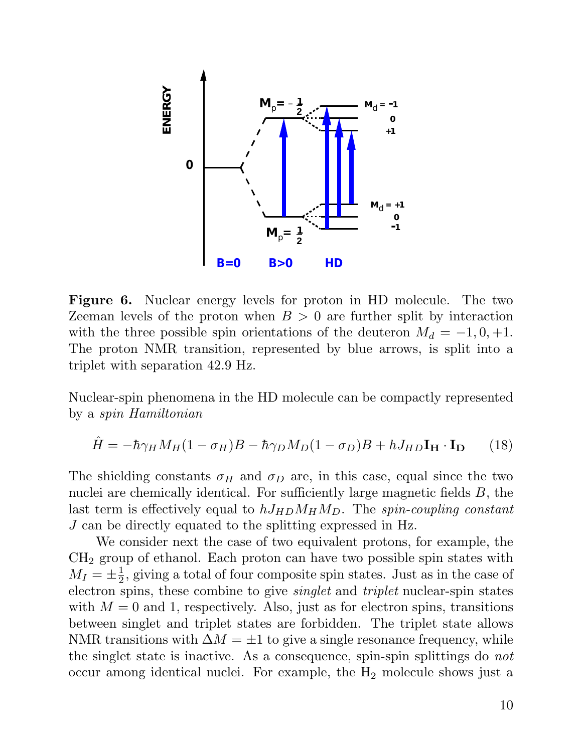

Figure 6. Nuclear energy levels for proton in HD molecule. The two Zeeman levels of the proton when  $B > 0$  are further split by interaction with the three possible spin orientations of the deuteron  $M_d = -1, 0, +1.$ Zeeman levels of the proton when  $B > 0$  are further split by interaction<br>with the three possible spin orientations of the deuteron  $M_d = -1, 0, +1$ .<br>The proton NMR transition, represented by blue arrows, is split into a<br>trip with the three possible spin orien<br>The proton NMR transition, rep<br>triplet with separation 42.9 Hz.

triplet with separation 42.9 Hz.<br>Nuclear-spin phenomena in the HD molecule can be compactly represented<br>by a spin Hamiltonian Nuclear-spin phenomena in<br>by a *spin Hamiltonian* 

$$
\hat{H} = -\hbar \gamma_H M_H (1 - \sigma_H) B - \hbar \gamma_D M_D (1 - \sigma_D) B + h J_{HD} I_H \cdot I_D \tag{18}
$$

 $\hat{H} = -\hbar \gamma_H M_H (1 - \sigma_H) B - \hbar \gamma_D M_D (1 - \sigma_D) B + h J_{HD} I_H \cdot I_D$  (18)<br>The shielding constants  $\sigma_H$  and  $\sigma_D$  are, in this case, equal since the two<br>pucks are shamically identical. For sufficiently large magnetic fields  $B$ , the The shielding constants  $\sigma_H$  and  $\sigma_D$  are, in this case, equal since the two nuclei are chemically identical. For sufficiently large magnetic fields B, the lost term is effectively equal to b  $I_{\text{tot}} M_{\text{tot}} M_{\text{tot}}$ . Th The shielding constants  $\sigma_H$  and  $\sigma_D$  are, in this case, equal since the two<br>nuclei are chemically identical. For sufficiently large magnetic fields B, the<br>last term is effectively equal to  $hJ_{HD}M_HM_D$ . The *spin-coupli* nuclei are chemically identical. For sufficiently large magnetic<br>last term is effectively equated to  $hJ_{HD}M_{H}M_{D}$ . The spin-court<br>J can be directly equated to the splitting expressed in Hz.<br>We consider not the sage of term is effectively equal to  $hJ_{HD}M_HM_D$ . The *spin-coupling constant*<br>n be directly equated to the splitting expressed in Hz.<br>We consider next the case of two equivalent protons, for example, the<br>group of otheral. Each p

 $J$  can be directly equated to the splitting expressed in Hz.<br>We consider next the case of two equivalent protons, for example, the  $\rm CH_2$  group of ethanol. Each proton can have two possible spin states with  $M_I = \pm \frac{1}{2}$ , giv consider next the case of two equivalent protons, for example, the<br>up of ethanol. Each proton can have two possible spin states with<br> $\frac{1}{2}$ , giving a total of four composite spin states. Just as in the case of<br>gring, t  $CH_2$  group of ethanol. Each proton can have two possible spin states with  $M_I = \pm \frac{1}{2}$ , giving a total of four composite spin states. Just as in the case of electron spins, these combine to give *singlet* and *triplet*  $M_I = \pm \frac{1}{2}$ , giving a total of four composite spin states. Just as in the case of electron spins, these combine to give *singlet* and *triplet* nuclear-spin states with  $M = 0$  and 1, respectively. Also, just as for ele electron spins, these combine to give *singlet* and *triplet* nuclear-spin states with  $M = 0$  and 1, respectively. Also, just as for electron spins, transitions between singlet and triplet states are forbidden. The triple with  $M = 0$  and 1, respectively. Also, just as for electron spins, transitions the singlet state is inactive. As a consequence, spin-spin splittings do not occur among identical nuclei. For example, the  $H_2$  molecule shows just a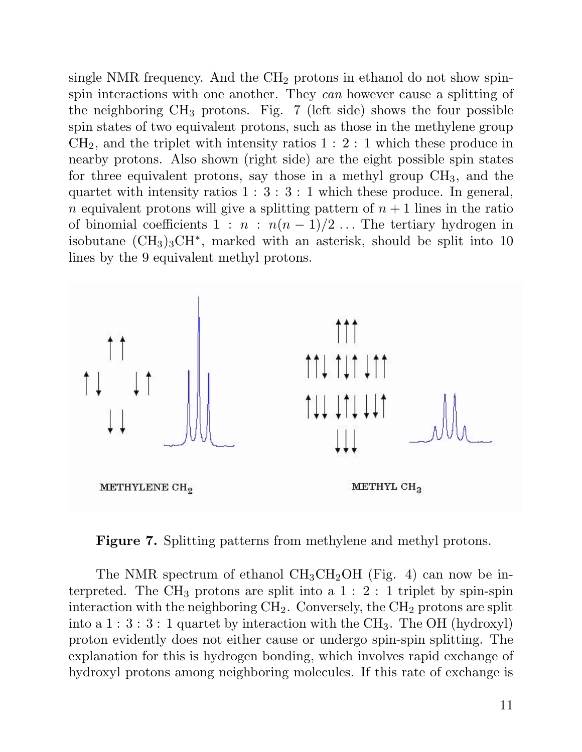single NMR frequency. And the  $\text{CH}_2$  protons in ethanol do not show spinspin interactions with one another. They can however cause a splitting of single NMR frequency. And the  $CH_2$  protons in ethanol do not show spin-<br>spin interactions with one another. They *can* however cause a splitting of<br>the neighboring  $CH_3$  protons. Fig. 7 (left side) shows the four possibl spin interactions with one another. They can however cause a splitting of<br>the neighboring  $CH_3$  protons. Fig. 7 (left side) shows the four possible<br>spin states of two equivalent protons, such as those in the methylene gro the neighboring  $CH_3$  protons. Fig. 7 (left side) shows the four possible<br>spin states of two equivalent protons, such as those in the methylene group<br> $CH_2$ , and the triplet with intensity ratios  $1 : 2 : 1$  which these prod spin states of two equivalent protons, such as those in the methylene group  $CH_2$ , and the triplet with intensity ratios  $1:2:1$  which these produce in nearby protons. Also shown (right side) are the eight possible spin s  $CH_2$ , and the triplet with intensity ratios 1 : 2 : 1 which these produce in<br>nearby protons. Also shown (right side) are the eight possible spin states<br>for three equivalent protons, say those in a methyl group  $CH_3$ , and mearby protons. Also shown (right side) are the eight possible spin states<br>for three equivalent protons, say those in a methyl group  $CH_3$ , and the<br>quartet with intensity ratios  $1 : 3 : 3 : 1$  which these produce. In genera for three equivalent protons, say those in a methyl group  $CH_3$ , and the quartet with intensity ratios 1 : 3 : 3 : 1 which these produce. In general, <br>*n* equivalent protons will give a splitting pattern of  $n + 1$  lines i quartet with intensity ratios 1 : 3 : 3 : 1 which these produce. In general,<br>
n equivalent protons will give a splitting pattern of  $n + 1$  lines in the ratio<br>
of binomial coefficients  $1 : n : n(n - 1)/2 ...$  The tertiary hydrogen *n* equivalent protons will give a splitting pattern of  $n + 1$  lines in the ratio<br>of binomial coefficients  $1 : n : n(n - 1)/2 ...$  The tertiary hydrogen in<br>isobutane (CH<sub>3</sub>)<sub>3</sub>CH<sup>\*</sup>, marked with an asterisk, should be split into 1 of binomial coefficients  $1 : n : n(n-1)$ ,<br>isobutane  $(\text{CH}_3)_3\text{CH}^*$ , marked with an a<br>lines by the 9 equivalent methyl protons.



Figure 7. Splitting patterns from methylene and methyl protons.

The NMR spectrum of ethanol  $CH_3CH_2OH$  (Fig. 4) can now be in-The NMR spectrum of ethanol  $CH_3CH_2OH$  (Fig. 4) can now be in-<br>terpreted. The  $CH_3$  protons are split into a 1 : 2 : 1 triplet by spin-spin<br>interaction with the poirbloging  $CH_3$  Convergely the  $CH_3$  protons are split The NMR spectrum of ethanol  $CH_3CH_2OH$  (Fig. 4) can now be in-<br>terpreted. The  $CH_3$  protons are split into a 1 : 2 : 1 triplet by spin-spin<br>interaction with the neighboring  $CH_2$ . Conversely, the  $CH_2$  protons are split<br>in terpreted. The CH<sub>3</sub> protons are split into a 1 : 2 : 1 triplet by spin-spin<br>interaction with the neighboring CH<sub>2</sub>. Conversely, the CH<sub>2</sub> protons are split<br>into a 1 : 3 : 3 : 1 quartet by interaction with the CH<sub>3</sub>. The interaction with the neighboring  $CH_2$ . Conversely, the  $CH_2$  protons are split<br>into a 1 : 3 : 3 : 1 quartet by interaction with the  $CH_3$ . The OH (hydroxyl)<br>proton evidently does not either cause or undergo spin-spin spl into a  $1:3:3:1$  quartet by interaction with the  $CH_3$ . The OH (hydroxyl)<br>proton evidently does not either cause or undergo spin-spin splitting. The<br>explanation for this is hydrogen bonding, which involves rapid exchange proton evidently does not either cause or undergo spin-spin splitting. The explanation for this is hydrogen bonding, which involves rapid exchange of hydroxyl protons among neighboring molecules. If this rate of exchange i